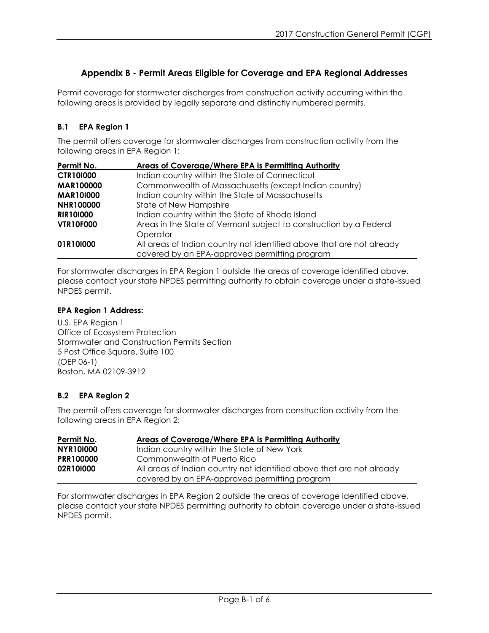# **Appendix B - Permit Areas Eligible for Coverage and EPA Regional Addresses**

Permit coverage for stormwater discharges from construction activity occurring within the following areas is provided by legally separate and distinctly numbered permits.

#### **B.1 EPA Region 1**

The permit offers coverage for stormwater discharges from construction activity from the following areas in EPA Region 1:

| Permit No.       | Areas of Coverage/Where EPA is Permitting Authority                   |
|------------------|-----------------------------------------------------------------------|
| <b>CTR101000</b> | Indian country within the State of Connecticut                        |
| <b>MAR100000</b> | Commonwealth of Massachusetts (except Indian country)                 |
| <b>MAR101000</b> | Indian country within the State of Massachusetts                      |
| <b>NHR100000</b> | State of New Hampshire                                                |
| <b>RIR101000</b> | Indian country within the State of Rhode Island                       |
| <b>VTR10F000</b> | Areas in the State of Vermont subject to construction by a Federal    |
|                  | Operator                                                              |
| 01R10I000        | All areas of Indian country not identified above that are not already |
|                  | covered by an EPA-approved permitting program                         |

For stormwater discharges in EPA Region 1 outside the areas of coverage identified above, please contact your state NPDES permitting authority to obtain coverage under a state-issued NPDES permit.

#### **EPA Region 1 Address:**

U.S. EPA Region 1 Office of Ecosystem Protection Stormwater and Construction Permits Section 5 Post Office Square, Suite 100 (OEP 06-1) Boston, MA 02109-3912

#### **B.2 EPA Region 2**

The permit offers coverage for stormwater discharges from construction activity from the following areas in EPA Region 2:

| Permit No.       | Areas of Coverage/Where EPA is Permitting Authority                   |
|------------------|-----------------------------------------------------------------------|
| <b>NYR101000</b> | Indian country within the State of New York                           |
| <b>PRR100000</b> | Commonwealth of Puerto Rico                                           |
| 02R10I000        | All areas of Indian country not identified above that are not already |
|                  | covered by an EPA-approved permitting program                         |

For stormwater discharges in EPA Region 2 outside the areas of coverage identified above, please contact your state NPDES permitting authority to obtain coverage under a state-issued NPDES permit.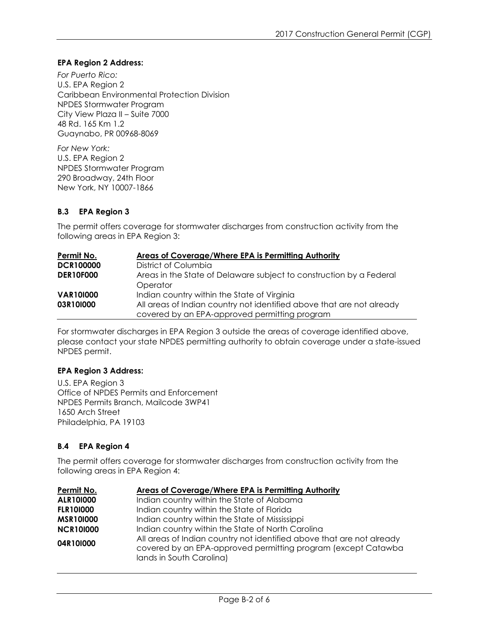#### **EPA Region 2 Address:**

*For Puerto Rico:* U.S. EPA Region 2 Caribbean Environmental Protection Division NPDES Stormwater Program City View Plaza II – Suite 7000 48 Rd. 165 Km 1.2 Guaynabo, PR 00968-8069

*For New York:* U.S. EPA Region 2 NPDES Stormwater Program 290 Broadway, 24th Floor New York, NY 10007-1866

#### **B.3 EPA Region 3**

The permit offers coverage for stormwater discharges from construction activity from the following areas in EPA Region 3:

| Permit No.       | Areas of Coverage/Where EPA is Permitting Authority                             |
|------------------|---------------------------------------------------------------------------------|
| <b>DCR100000</b> | District of Columbia                                                            |
| <b>DER10F000</b> | Areas in the State of Delaware subject to construction by a Federal<br>Operator |
| <b>VAR101000</b> | Indian country within the State of Virginia                                     |
| 03R10I000        | All areas of Indian country not identified above that are not already           |
|                  | covered by an EPA-approved permitting program                                   |

For stormwater discharges in EPA Region 3 outside the areas of coverage identified above, please contact your state NPDES permitting authority to obtain coverage under a state-issued NPDES permit.

#### **EPA Region 3 Address:**

U.S. EPA Region 3 Office of NPDES Permits and Enforcement NPDES Permits Branch, Mailcode 3WP41 1650 Arch Street Philadelphia, PA 19103

#### **B.4 EPA Region 4**

The permit offers coverage for stormwater discharges from construction activity from the following areas in EPA Region 4:

| Permit No.       | Areas of Coverage/Where EPA is Permitting Authority                                                                                                                |
|------------------|--------------------------------------------------------------------------------------------------------------------------------------------------------------------|
| ALR101000        | Indian country within the State of Alabama                                                                                                                         |
| <b>FLR101000</b> | Indian country within the State of Florida                                                                                                                         |
| <b>MSR101000</b> | Indian country within the State of Mississippi                                                                                                                     |
| <b>NCR101000</b> | Indian country within the State of North Carolina                                                                                                                  |
| 04R10I000        | All areas of Indian country not identified above that are not already<br>covered by an EPA-approved permitting program (except Catawba<br>lands in South Carolina) |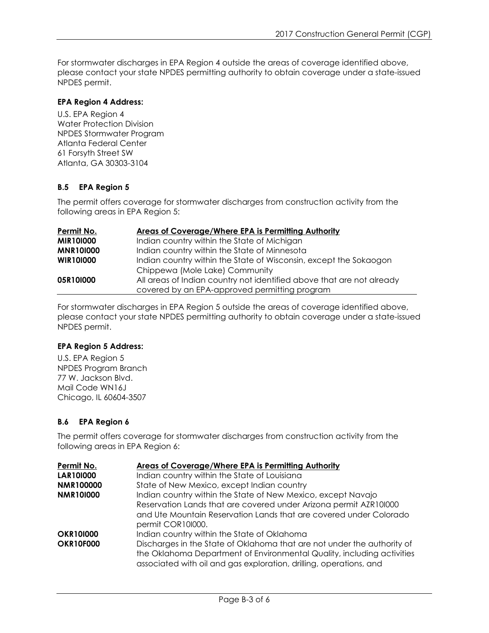For stormwater discharges in EPA Region 4 outside the areas of coverage identified above, please contact your state NPDES permitting authority to obtain coverage under a state-issued NPDES permit.

#### **EPA Region 4 Address:**

U.S. EPA Region 4 Water Protection Division NPDES Stormwater Program Atlanta Federal Center 61 Forsyth Street SW Atlanta, GA 30303-3104

### **B.5 EPA Region 5**

The permit offers coverage for stormwater discharges from construction activity from the following areas in EPA Region 5:

| Permit No.       | <b>Areas of Coverage/Where EPA is Permitting Authority</b>            |
|------------------|-----------------------------------------------------------------------|
| <b>MIR101000</b> | Indian country within the State of Michigan                           |
| <b>MNR101000</b> | Indian country within the State of Minnesota                          |
| <b>WIR101000</b> | Indian country within the State of Wisconsin, except the Sokaogon     |
|                  | Chippewa (Mole Lake) Community                                        |
| 05R10I000        | All areas of Indian country not identified above that are not already |
|                  | covered by an EPA-approved permitting program                         |

For stormwater discharges in EPA Region 5 outside the areas of coverage identified above, please contact your state NPDES permitting authority to obtain coverage under a state-issued NPDES permit.

#### **EPA Region 5 Address:**

U.S. EPA Region 5 NPDES Program Branch 77 W. Jackson Blvd. Mail Code WN16J Chicago, IL 60604-3507

#### **B.6 EPA Region 6**

The permit offers coverage for stormwater discharges from construction activity from the following areas in EPA Region 6:

| Permit No.       | Areas of Coverage/Where EPA is Permitting Authority                                                                                          |
|------------------|----------------------------------------------------------------------------------------------------------------------------------------------|
| <b>LAR101000</b> | Indian country within the State of Louisiana                                                                                                 |
| <b>NMR100000</b> | State of New Mexico, except Indian country                                                                                                   |
| <b>NMR101000</b> | Indian country within the State of New Mexico, except Navajo                                                                                 |
|                  | Reservation Lands that are covered under Arizona permit AZR101000                                                                            |
|                  | and Ute Mountain Reservation Lands that are covered under Colorado                                                                           |
|                  | permit COR101000.                                                                                                                            |
| <b>OKR101000</b> | Indian country within the State of Oklahoma                                                                                                  |
| <b>OKR10F000</b> | Discharges in the State of Oklahoma that are not under the authority of                                                                      |
|                  | the Oklahoma Department of Environmental Quality, including activities<br>associated with oil and gas exploration, drilling, operations, and |
|                  |                                                                                                                                              |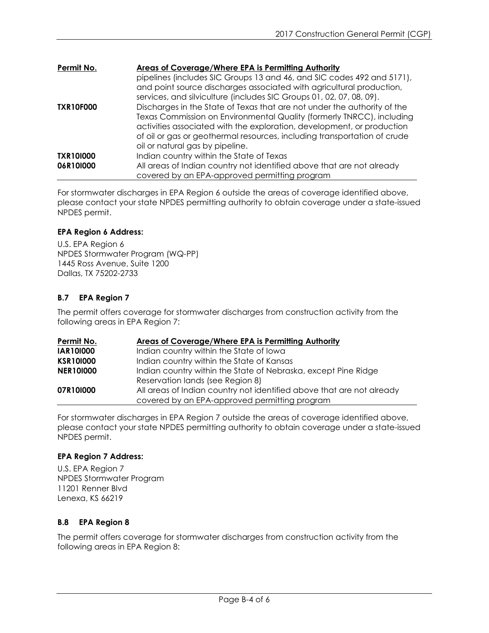| Permit No.       | <b>Areas of Coverage/Where EPA is Permitting Authority</b>               |
|------------------|--------------------------------------------------------------------------|
|                  | pipelines (includes SIC Groups 13 and 46, and SIC codes 492 and 5171),   |
|                  | and point source discharges associated with agricultural production,     |
|                  | services, and silviculture (includes SIC Groups 01, 02, 07, 08, 09).     |
| <b>TXR10F000</b> | Discharges in the State of Texas that are not under the authority of the |
|                  | Texas Commission on Environmental Quality (formerly TNRCC), including    |
|                  | activities associated with the exploration, development, or production   |
|                  | of oil or gas or geothermal resources, including transportation of crude |
|                  | oil or natural gas by pipeline.                                          |
| <b>TXR101000</b> | Indian country within the State of Texas                                 |
| 06R10I000        | All areas of Indian country not identified above that are not already    |
|                  | covered by an EPA-approved permitting program                            |

For stormwater discharges in EPA Region 6 outside the areas of coverage identified above, please contact your state NPDES permitting authority to obtain coverage under a state-issued NPDES permit.

### **EPA Region 6 Address:**

U.S. EPA Region 6 NPDES Stormwater Program (WQ-PP) 1445 Ross Avenue, Suite 1200 Dallas, TX 75202-2733

# **B.7 EPA Region 7**

The permit offers coverage for stormwater discharges from construction activity from the following areas in EPA Region 7:

| Permit No.       | Areas of Coverage/Where EPA is Permitting Authority                   |
|------------------|-----------------------------------------------------------------------|
| <b>IAR101000</b> | Indian country within the State of Iowa                               |
| <b>KSR101000</b> | Indian country within the State of Kansas                             |
| <b>NER101000</b> | Indian country within the State of Nebraska, except Pine Ridge        |
|                  | Reservation lands (see Region 8)                                      |
| 07R10I000        | All areas of Indian country not identified above that are not already |
|                  | covered by an EPA-approved permitting program                         |

For stormwater discharges in EPA Region 7 outside the areas of coverage identified above, please contact your state NPDES permitting authority to obtain coverage under a state-issued NPDES permit.

#### **EPA Region 7 Address:**

U.S. EPA Region 7 NPDES Stormwater Program 11201 Renner Blvd Lenexa, KS 66219

# **B.8 EPA Region 8**

The permit offers coverage for stormwater discharges from construction activity from the following areas in EPA Region 8: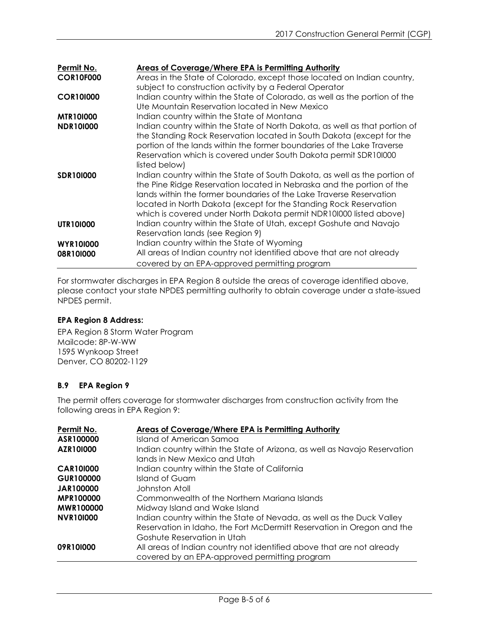| Permit No.       | Areas of Coverage/Where EPA is Permitting Authority                         |
|------------------|-----------------------------------------------------------------------------|
| <b>COR10F000</b> | Areas in the State of Colorado, except those located on Indian country,     |
|                  | subject to construction activity by a Federal Operator                      |
| <b>COR101000</b> | Indian country within the State of Colorado, as well as the portion of the  |
|                  | Ute Mountain Reservation located in New Mexico                              |
| <b>MTR101000</b> | Indian country within the State of Montana                                  |
| <b>NDR101000</b> | Indian country within the State of North Dakota, as well as that portion of |
|                  | the Standing Rock Reservation located in South Dakota (except for the       |
|                  | portion of the lands within the former boundaries of the Lake Traverse      |
|                  | Reservation which is covered under South Dakota permit SDR101000            |
|                  | listed below)                                                               |
| <b>SDR101000</b> | Indian country within the State of South Dakota, as well as the portion of  |
|                  | the Pine Ridge Reservation located in Nebraska and the portion of the       |
|                  | lands within the former boundaries of the Lake Traverse Reservation         |
|                  | located in North Dakota (except for the Standing Rock Reservation           |
|                  | which is covered under North Dakota permit NDR101000 listed above)          |
| <b>UTR101000</b> | Indian country within the State of Utah, except Goshute and Navajo          |
|                  | Reservation lands (see Region 9)                                            |
| <b>WYR101000</b> | Indian country within the State of Wyoming                                  |
| 08R10I000        | All areas of Indian country not identified above that are not already       |
|                  | covered by an EPA-approved permitting program                               |

For stormwater discharges in EPA Region 8 outside the areas of coverage identified above, please contact your state NPDES permitting authority to obtain coverage under a state-issued NPDES permit.

#### **EPA Region 8 Address:**

EPA Region 8 Storm Water Program Mailcode: 8P-W-WW 1595 Wynkoop Street Denver, CO 80202-1129

# **B.9 EPA Region 9**

The permit offers coverage for stormwater discharges from construction activity from the following areas in EPA Region 9:

| Permit No.       | <b>Areas of Coverage/Where EPA is Permitting Authority</b>                |
|------------------|---------------------------------------------------------------------------|
| ASR100000        | Island of American Samoa                                                  |
| AZR101000        | Indian country within the State of Arizona, as well as Navajo Reservation |
|                  | lands in New Mexico and Utah                                              |
| <b>CAR101000</b> | Indian country within the State of California                             |
| <b>GUR100000</b> | Island of Guam                                                            |
| <b>JAR100000</b> | Johnston Atoll                                                            |
| <b>MPR100000</b> | Commonwealth of the Northern Mariana Islands                              |
| <b>MWR100000</b> | Midway Island and Wake Island                                             |
| <b>NVR101000</b> | Indian country within the State of Nevada, as well as the Duck Valley     |
|                  | Reservation in Idaho, the Fort McDermitt Reservation in Oregon and the    |
|                  | Goshute Reservation in Utah                                               |
| 09R10I000        | All areas of Indian country not identified above that are not already     |
|                  | covered by an EPA-approved permitting program                             |